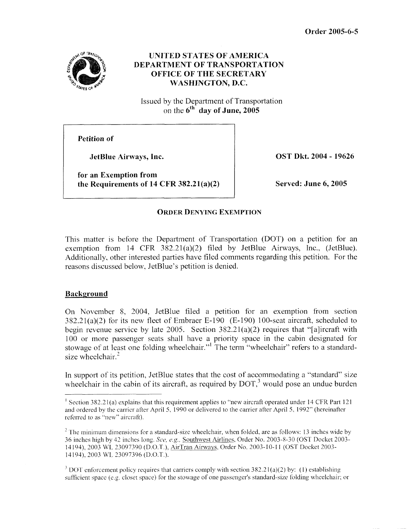

# **UNITED STATES OF AMERICA DEPARTMENT OF TRANSPORTATION OFFICE OF THE SECRETARY WASHINGTON, D.C.**

Issued by the Department of Transportation on the  $6^{th}$  day of June,  $2005$ 

**Petition of** 

**JetBlue Airways, Inc.** 

**for an Exemption from the Requirements of 14 CFR 382.21(a)(2)**  **OST Dkt. 2004** - **19626** 

**Served: June 6,2005** 

# **ORDER DENYING EXEMPTION**

This matter is before the Department of Transportation (DOT) on a petition for an exemption from 14 CFR 382.21(a)(2) filed by JetBlue Airways, Inc., (JetBlue). Additionally, other interested parties have filed comments regarding this petition. For the reasons discussed below, JetBlue's petition is denied.

### **Background**

On November 8, 2004, JetBlue filed a petition for an exemption from section 382.21(a)(2) for its new fleet of Embraer E-190 (E-190) 100-seat aircraft, scheduled to begin revenue service by late 2005. Section  $382.21(a)(2)$  requires that "[a]ircraft with 100 or inore passenger seats shall have a priority space in the cabin designated for stowage of at least one folding wheelchair."<sup>1</sup> The term "wheelchair" refers to a standardsize wheelchair.<sup>2</sup>

In support of its petition, JetBlue states that the cost of accommodating a "standard" size wheelchair in the cabin of its aircraft, as required by  $DOT$ ,<sup>3</sup> would pose an undue burden

<sup>3</sup> DOT enforcement policy requires that carriers comply with section 382.21(a)(2) by: (1) establishing sufficient space (e.g. closet space) for the stowage of one passenger's standard-size folding wheelchair; or

<sup>&</sup>lt;sup>1</sup> Section 382.21(a) explains that this requirement applies to "new aircraft operated under 14 CFR Part 121 and ordered by the carrici- after April 5. 1990 or delivered to the carrier after April 5, 1992" (hereinafter referred to as "new" aircraft).

 $1<sup>2</sup>$  The minimum dimensions for a standard-size wheelchair, when folded, are as follows: 13 inches wide by 36 inches high by 42 inches long. See, e.g., Southwest Airlines, Order No. 2003-8-30 (OST Docket 2003-14104). 2003 WL 23097390 (D O.T ), AirTran Ainvavs. Order No. 2003-10-1 1 *(OS7* Docket 2003- 14194), 2003 WL 23097396 (D.O.T.).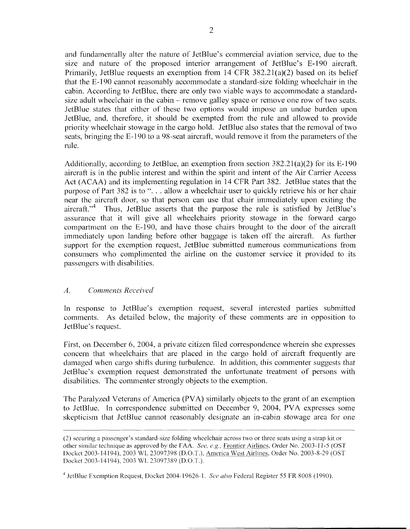and fundamentally alter the nature of JetBlue's commercial aviation service, due to the size and nature of the proposed interior arrangement of JetBlue's E-190 aircraft. Primarily, JetBlue requests an exemption from 14 CFR 382.21(a)(2) based on its belief that the E-190 cannot reasonably accommodate a standard-size folding wheelchair in the cabin. According to JetBlue, there are only two viable ways to accommodate a standardsize adult wheelchair in the cabin – remove galley space or remove one row of two seats. JetBlue states that either of these two options would impose an undue burden upon JetBlue, and, therefore, it should be exempted from the rule and allowed to provide priority wheelchair stowage in the cargo hold. JetBlue also states that the removal of two seats, bringing the E- 190 to a 98-seat aircraft, would remove it from the parameters of the rule.

Additionally, according to JetBlue, an exemption from section  $382.21(a)(2)$  for its E-190 aircraft is in the public interest and within the spirit and intent of the Air Carrier Access Act (ACAA) and its implementing regulation in 14 CFR Part 382. JetBlue states that the purpose of Part 382 is to "... allow a wheelchair user to quickly retrieve his or her chair near the aircraft door, so that person can use that chair immediately upon exiting the aircraft."<sup>4</sup> Thus, JetBlue asserts that the purpose the rule is satisfied by JetBlue's assurance that it will give all wheelchairs priority stowage in the forward cargo compartment on the E-190, and have those chairs brought to the door of the aircraft immediatcly upon landing before other baggage is taken off the aircraft. As further support for the exemption request, JetBlue submitted numerous communications from consumers who complimented the airline on the customer service it provided to its passengers with disabilities.

### A. Comments Received

In response to JctBlue's exemption request, several interested parties submitted comments. As detailed below, the majority of these comments are in opposition to JetBlue's request.

First, on December 6, 2004, a private citizen filed correspondence wherein she expresses concern that wheelchairs that are placed in the cargo hold of aircraft frequently are damaged when cargo shifts during turbulence. In addition, this commenter suggests that JetBlue's exemption request demonstrated the unfortunate treatment of persons with disabilities. The commenter strongly objects to the exemption.

The Paralyzed Veterans of America (PVA) similarly objects to the grant of an exemption to JetBlue. In correspondence submitted on December 9, 2004, PVA expresses some skepticism that JetBlue cannot reasonably designate an in-cabin stowage area for one

<sup>(2)</sup> securing a passenger's standard-size folding wheelchair across two or three seats using a strap kit or other similar technique as approved by the FAA. *See, e.g.*, Frontier Airlines, Order No. 2003-11-5 (OST) Docket 2003-14194), 2003 WL 23097398 (D.O.T.), America West Airlines, Order No. 2003-8-29 (OST Docket 2003-14194), 2003 WL 23097389 (D.O.T.).

<sup>&</sup>lt;sup>4</sup> JetBlue Exemption Request, Docket 2004-19626-1. *See also* Federal Register 55 FR 8008 (1990).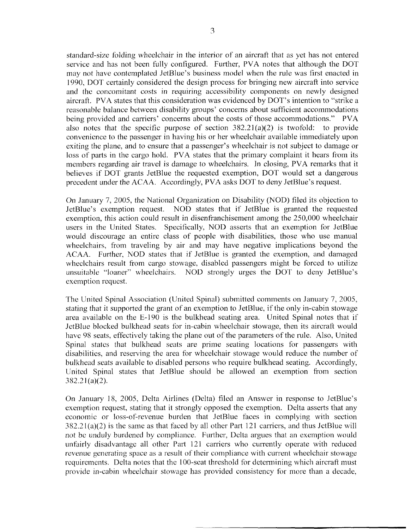standard-size folding wheelchair in the interior of an aircraft that as yet has not entered service and has not been fully configured. Further, PVA notes that although the DOT may not have contemplated JetBlue's business model when the rule was first enacted in 1990, DOT certainly considered the design process for bringing new aircraft into service and the concomitant costs in requiring accessibility components on newly designed aircraft. PVA states that this consideration was evidenced by DOT'S intention to "strike a reasonable balance between disability groups' concerns about sufficient accommodations being provided and carriers' concerns about the costs of those accommodations." PVA also notes that the specific purpose of section  $382.21(a)(2)$  is twofold: to provide convenicnce to the passenger in having his or her wheelchair available immediately upon exiting the plane, and to ensure that a passenger's wheelchair is not subject to damage or loss of parts in the cargo hold. PVA states that the primary complaint it hears from its members regarding air travel is damage to wheelchairs. In closing, PVA remarks that it believes if DOT grants JetBlue the requested exemption, DOT would set a dangerous precedent under the ACAA. Accordingly, PVA asks DOT to deny JetBlue's request.

On January 7, 2005, the National Organization on Disability (NOD) filed its objection to JetBlue's exemption request. NOD states that if JetBlue is granted the requested exemption, this action could result in disenfranchisement among the 250,000 wheelchair users in the United States. Specifically, NOD asserts that an exemption for JetBlue would discourage an entire class of people with disabilities, those who use manual wheelchairs, from traveling by air and may have negative implications beyond the ACAA. Further, NOD states that if JetBlue is granted the exemption, and damaged Wheelchairs result from cargo stowage, disabled passengers might be forced to utilize unsuitable "loaner" wheelchairs. NOD strongly urges the DOT to deny JetBlue's exemption request.

The United Spinal Association (United Spinal) submitted comments on January 7, 2005, stating that it supported the grant of an exemption to JetBlue, if the only in-cabin stowage area available on the E-190 is the bulkhead seating area. United Spinal notes that if JetBlue blocked bulkhead seats for in-cabin wheelchair stowage, then its aircraft would havc 98 seats, effectively taking the plane out of the parameters of the rule. Also, United Spinal states that bulkhead seats are prime seating locations for passengers with disabilities, and reserving the area for wheelchair stowage would reduce the number of bulkhead seats available to disabled persons who require bulkhead seating. Accordingly, United Spinal states that JetBlue should be allowed an exemption from section 382.2 1(a)(2).

On January 18, 2005, Delta Airlines (Delta) filed an Answer in response to JetBlue's exemption request, stating that it strongly opposed the exemption. Delta asserts that any economic or loss-of-revenue burden that JetBlue faces in complying with section  $382.21(a)(2)$  is the same as that faced by all other Part 121 carriers, and thus JetBlue will not be unduly burdened by compliance. Further, Delta argues that an exemption would unfairly disadvantage all other Part 121 carriers who currently operate with reduced revenue generating space as a result of their compliance with current wheelchair stowage requirements. Delta notes that the 100-seat threshold for determining which aircraft must provide in-cabin wheelchair stowage has provided consistency for inore than a decade,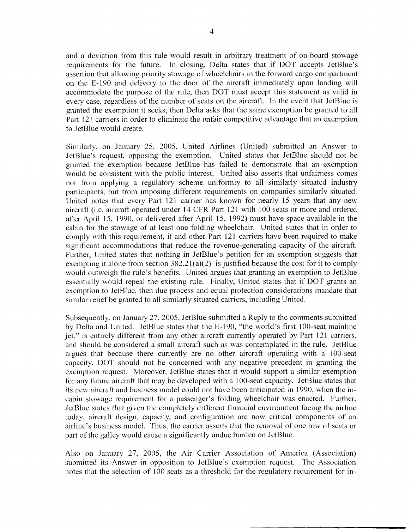and a deviation from this rule would result in arbitrary treatment of on-board stowage requirements for the future. In closing, Delta states that if DOT accepts JetBlue's assertion that allowing priority stowage of wheelchairs in the forward cargo compartment on the E-190 and delivery to the door of the aircraft immediately upon landing will accommodate the purpose of the rule, then DOT must accept this statement as valid in every case, regardless of the number of seats on the aircraft. In the event that JetBlue is granted the exemption it seeks, then Delta asks that the same exemption be granted to all Part 121 carriers in order to eliminate the unfair competitive advantage that an exemption to JetBlue would create.

Similarly, on January 25, 2005, United Airlines (United) submitted an Answer to JetBlue's request, opposing the exemption. United states that JetBlue should not be granted the exemption because JetBlue has failed to demonstrate that an exemption would be consistent with the public interest. United also asserts that unfairness comes not from applying a regulatory scheme uniformly to all similarly situated industry participants, but from imposing different requirements on companies similarly situated. United notes that every Part 121 carrier has known for nearly 15 years that any new aircraft (i.e. aircraft operated under 14 CFR Part 121 with 100 seats or more and ordered after April 15, 1990, or delivered after April 15, 1992) must have space available in the cabin for the stowage of at least one folding wheelchair. United states that in order to comply with this requirement, it and other Part 121 carriers have been required to make significant accommodations that reduce the revenue-generating capacity of the aircraft. Further, United states that nothing in JetBlue's petition for an exemption suggests that exempting it alone from section  $382.21(a)(2)$  is justified because the cost for it to comply would outweigh the rule's benefits. United argues that granting an exemption to JetBlue essentially would repeal the existing rule. Finally, United states that if DOT grants an exemption to JetBlue, then due process and equal protection considerations mandate that similar relief be granted to all similarly situated carriers, including United.

Subsequently, on January 27, 2005, JetBlue submitted a Reply to the comments submitted by Delta and United. JetBlue states that the E-190, "the world's first 100-seat mainline jet," is entirely different from any other aircraft currently operated by Part 121 carriers, and should be considered a small aircraft such as was contemplated in the rule. JetBlue argues that because there currently are no other aircraft operating with a 100-seat capacity, DOT should not be concerned with any negative precedent in granting the exemption request. Moreover, JetBlue states that it would support a similar exemption for any future aircraft that may be developed with a 100-seat capacity. JetBlue states that its new aircraft and business model could not have been anticipated in 1990. when the incabin stowage requirement for a passenger's folding wheelchair was enacted. Further, JetBlue states that given the completely different financial environment facing the airline today, aircraft design, capacity, and configuration are now critical components of an airline's business model. Thus, the carrier asserts that the removal of one row of seats or part of the galley would cause a significantly undue burden on JetBlue.

Also on January 27, 2005, the Air Carrier Association of America (Association) submitted its Answer in opposition to JetBlue's exemption request. The Association notes that the selection of 100 seats as a threshold for the regulatory requirement for in-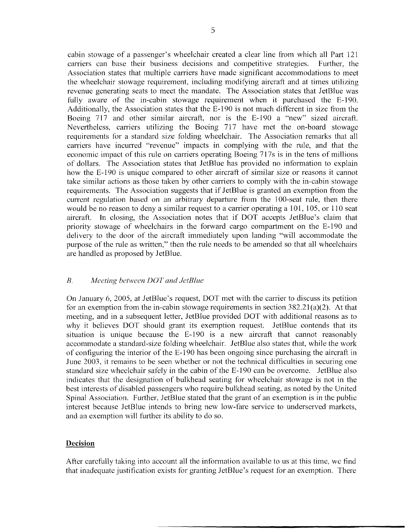cabin stowage of a passenger's wheelchair created a clear line from which all Part 121 carriers can base their business decisions and competitive strategies. Further, the Association states that multiple carriers have made significant accommodations to meet the wheelchair stowage requirement, including modifying aircraft and at times utilizing revenue generating seats to meet the mandate. The Association states that JetBlue was fully aware of the in-cabin stowage requirement when it purchased the E-190. Additionally, the Association states that the E-190 is not much different in size from the Boeing 717 and other similar aircraft, nor is the E-190 a "new" sized aircraft. Nevertheless, carriers utilizing the Boeing 717 have met the on-board stowage requirements for a standard size folding wheelchair. The Association remarks that all carriers have incurred "revenue" impacts in complying with the rule, and that the economic impact of this rule on carriers operating Boeing 717s is in the tens of millions of dollars. The Association states that JetBlue has provided no information to explain how the E-190 is unique compared to other aircraft of similar size or reasons it cannot take similar actions as those taken by other carriers to comply with the in-cabin stowage requirements. The Association suggests that if JetBlue is granted an exemption from the current regulation based on an arbitrary departure from the 100-seat rule, then there would be no reason to deny a similar request to a carrier operating a 101, 105, or 110 seat aircraft. In closing, the Association notes that if DOT accepts JetBlue's claim that priority stowage of wheelchairs in the forward cargo compartment on the E-190 and delivery to the door of the aircraft immediately upon landing "will accommodate the purpose of the rule as written," then the rule needs to be amended so that all wheelchairs are handled as proposed by JetBlue.

#### *R. Meeting between DOT and JetBlue*

On January 6, *2005,* at JetBlue's request, DOT met with the carrier to discuss its petition for an exemption from the in-cabin stowage requirements in section 382.21(a)(2). At that meeting, and in a subsequent letter, JetBlue provided DOT with additional reasons as to why it believes DOT should grant its exemption request. JetBlue contends that its situation is unique because the E-190 is a new aircraft that cannot reasonably accommodate a standard-size folding wheelchair. JetBlue also states that, while the work of configuring the interior of the E- 190 has been ongoing since purchasing the aircraft in June 2003, it remains to be seen whether or not the technical difficulties in securing one standard size wheelchair safely in the cabin of the E-190 can be overcome. JetBlue also indicates that the designation of bulkhead seating for wheelchair stowage is not in the best interests of disabled passengers who require bulkhead seating, as noted by the United Spinal Association. Further, JetBlue stated that the grant of an exemption is in the public interest because JetBlue intends to bring new low-fare service to underserved markets, and an exemption will further its ability to do so.

#### **Decision**

After carcfdly taking into account all the information available to us at this time, we find that inadequate justification exists for granting JetBlue's request for an excmption. There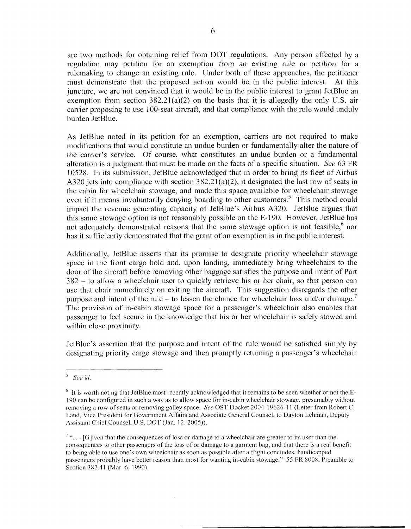are two methods for obtaining relief from DOT regulations. Any person affected by a regulation may petition for an exemption from an existing rule or petition for a rulemaking to change an existing rule. Under both of these approaches, the petitioner must demonstrate that the proposed action would be in the public interest. At this juncture, we are not convinced that it would be in the public interest to grant JetBlue an exemption from section  $382.21(a)(2)$  on the basis that it is allegedly the only U.S. air carrier proposing to use 100-seat aircraft, and that compliance with the rule would unduly burden JetBlue.

As JetBlue noted in its petition for an exemption, carriers are not required to make modifications that would constitute an undue burden or fundamentally alter the nature of the carrier's service. Of course, what constitutes an undue burden or a fundamental alteration is a judgment that must be made on the facts of a specific situation. *See* 63 FR 10528. In its submission, JetBlue acknowledged that in order to bring its fleet of Airbus A320 jets into compliance with section  $382.21(a)(2)$ , it designated the last row of seats in the cabin for wheelchair stowage, and made this space available for wheelchair stowage even if it means involuntarily denying boarding to other customers.<sup>5</sup> This method could impact the revenue generating capacity of JetBlue's Airbus A320. JetBlue argues that this same stowage option is not reasonably possible on the E-190. However, JetBlue has not adequately demonstrated reasons that the same stowage option is not feasible, nor has it sufficiently demonstrated that the grant of an exemption is in the public interest.

Additionally, JetBlue asserts that its promise to designate priority wheelchair stowage space in the front cargo hold and, upon landing, immediately bring wheelchairs to the door of the aircraft before removing other baggage satisfies the purpose and intent of Part <sup>382</sup>-to allow a wheelchair user to quickly retrieve his or her chair, so that person can use that chair immediately on exiting the aircraft. This suggestion disregards the other purpose and intent of the rule – to lessen the chance for wheelchair loss and/or damage. The provision of in-cabin stowage space for a passenger's wheelchair also enables that passenger to feel secure in the knowledge that his or her wheelchair is safely stowed and within close proximity.

JetBlue's assertion that the purpose and intent of the rule would be satisfied simply by designating priority cargo stowage and then promptly returning a passenger's wheelchair

 $5$  See id.

 $<sup>6</sup>$  It is worth noting that JetBlue most recently acknowledged that it remains to be seen whether or not the E-</sup> 190 can be configured in such a way as to allow space for in-cabin wheelchair stowage, presumably without removing a row of seats or removing galley space. *See* OST Docket 2004-19626-11 (Letter from Robert C. Land, Vice President for Government Affairs and Associate General Counsel, to Dayton Lehman, Deputy Assistant Chief Counsel, U.S. DOT (Jan. 12, 2005)).

 $^7$ . . . . [G] iven that the consequences of loss or damage to a wheelchair are greater to its user than the consequences to other passengers of the loss of or damage to a gannent bag, and that there is a real benefit to being able to use one's own wheelchair as soon as possible after a flight concludes, handicapped passengers probably have better reason than most for wanting in-cabin stowage." 55 FR 8008, Preamble to Section 382.41 (Mar. 6, 1990).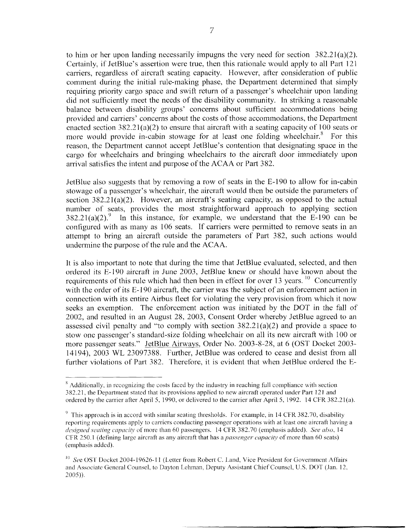to him or her upon landing necessarily impugns the very need for section  $382.21(a)(2)$ . Certainly, if JetBlue's assertion were true, then this rationale would apply to all Part 12 1 carriers, regardless of aircraft seating capacity. However, after consideration of public comment during the initial rule-making phase, the Department determined that simply requiring priority cargo space and swift return of a passenger's wheelchair upon landing did not sufficiently meet the needs of the disability community. In striking a reasonable balance between disability groups' concerns about sufficient accommodations being provided and carriers' concerns about the costs of those accommodations, the Department enacted section  $382.21(a)(2)$  to ensure that aircraft with a seating capacity of 100 seats or more would provide in-cabin stowage for at least one folding wheelchair.<sup>8</sup> For this reason, the Department cannot accept JetBlue's contention that designating space in the cargo for wheelchairs and bringing wheelchairs to the aircraft door immediately upon arrival satisfies the intent and purpose of the ACAA or Part 382.

JetBlue also suggests that by removing a row of seats in the E-190 to allow for in-cabin stowage of a passenger's wheelchair, the aircraft would then be outside the parameters of section  $382.21(a)(2)$ . However, an aircraft's seating capacity, as opposed to the actual number of seats, provides the most straightforward approach to applying section  $382.21(a)(2)$ . In this instance, for example, we understand that the E-190 can be configured with as many as 106 seats. If carriers were permitted to remove seats in an attempt to bring an aircraft outside the parameters of Part 382, such actions would undermine the purpose of the rule and the ACAA.

It is also important to note that during the time that JetBlue evaluated, selected, and then ordered its E-190 aircraft in June 2003, JetBlue knew or should have known about the requirements of this rule which had then been in effect for over 13 years. <sup>10</sup> Concurrently with the order of its E-190 aircraft, the carrier was the subject of an enforcement action in connection with its entire Airbus fleet for violating the very provision from which it now seeks an exemption. The enforcement action was initiated by the DOT in the fall of 2002, and resulted in an August 28, 2003, Consent Order whereby JetBlue agreed to an assessed civil penalty and "to comply with section  $382.21(a)(2)$  and provide a space to stow one passenger's standard-size folding wheelchair on all its new aircraft with 100 or more passenger seats." JetBlue Airways, Order No. 2003-8-28, at 6 (OST Docket 2003- 14194), 2003 WL 23097388. Further, JetBlue was ordered to cease and desist from all further violations of Part 382. Therefore, it is evident that when JetBlue ordered the E-

<sup>&</sup>lt;sup>8</sup> Additionally, in recognizing the costs faced by the industry in reaching full compliance with section 382.21, the Department stated that its provisions applied to new aircraft operated under Part 121 and ordered by the carrier after April 5, 1990, or delivered to the carrier after April 5, 1992. 14 CFR 382.21(a).

 $^{\circ}$  This approach is in accord with similar seating thresholds. For example, in 14 CFR 382.70, disability reporting requircments apply to carriers conducting passenger operations with at least one aircraft having a *designed seating capacity* of more than 60 passengers. 14 CFR 382.70 (emphasis added). *See also*, 14 CFR 250.1 (defining large aircraft as any aircraft that has a *passenger-capacity* of more than 60 seats) (emphasis added).

<sup>&</sup>lt;sup>10</sup> See OST Docket 2004-19626-11 (Letter from Robert C. Land, Vice President for Government Affairs and Associate General Counsel, to Dayton Lehman, Deputy Assistant Chief Counsel, U.S. DOT (Jan. 12, 2005)).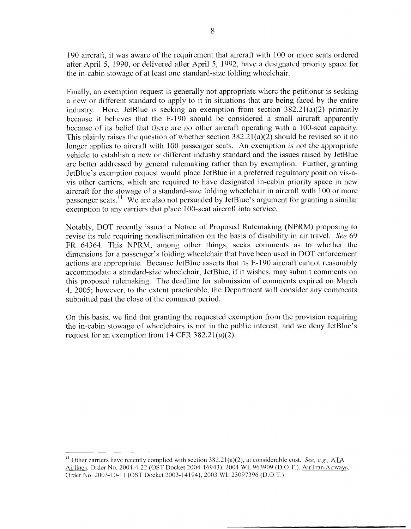190 aircraft, it was aware of the requirement that aircraft with 100 or more seats ordered after April *5,* 1990, or delivered after April *5,* 1992, have a designated priority space for the in-cabin stowage of at least one standard-size folding wheelchair.

Finally, an exemption request is generally not appropriate where the petitioner is seeking a new or different standard to apply to it in situations that are being faced by the entire industry. Here, JetBlue is seeking an exemption from section 382.21(a)(2) primarily because it believes that the E-190 should be considered a small aircraft apparently because of its belief that there are no other aircraft operating with a 100-seat capacity. This plainly raises the question of whether section 382.21(a)(2) should be revised so it no longer applies to aircraft with 100 passenger seats. An exemption is not the appropriate vehicle to establish a new or different industry standard and the issues raised by JetBlue are better addressed by general rulemaking rather than by exemption. Further, granting JetBlue's exemption request would place JetBlue in a preferred regulatory position vis-avis other carriers, which are required to have designated in-cabin priority space in new aircraft for the stowage of a standard-size folding wheelchair in aircraft with 100 or more passenger seats.<sup> $11$ </sup> We are also not persuaded by JetBlue's argument for granting a similar exemption to any carriers that place 100-seat aircraft into service.

Notably, DOT recently issued a Notice of Proposed Rulemaking (NPRM) proposing to revise its rule requiring nondiscrimination on the basis of disability in air travel. *See* 69 FR 64364. This NPRM, among other things, seeks comments as to whether the dimensions for a passenger's folding wheelchair that have been used in DOT enforcement actions are appropriate. Because JetBlue asserts that its E-190 aircraft cannot reasonably accommodate a standard-size wheelchair, JetBlue, if it wishes, may submit comments on this proposed rulemaking. The deadline for submission of comments expired on March 4, 2005; however, to the extent practicable, the Department will consider any comments submitted past the close of the comment period.

On this basis, we find that granting the requested exemption from the provision requiring the in-cabin stowage of wheelchairs is not in the public interest, and we deny JetBlue's request for an exemption from 14 CFR 382.21(a)(2).

<sup>&</sup>lt;sup>11</sup> Other carriers have recently complied with section 382.21(a)(2), at considerable cost. *See, e.g.,*  $\overline{ATA}$ Airlines, Order No. 2004-4-22 (OST Docket 2004-16943), 2004 WL 963909 (D.O.T.),AirTran Airways, C)rdcr No. 2003-10-1 **1** (OST Docket 2003-14194), 2003 WI, 23097396 (D.O.T.).